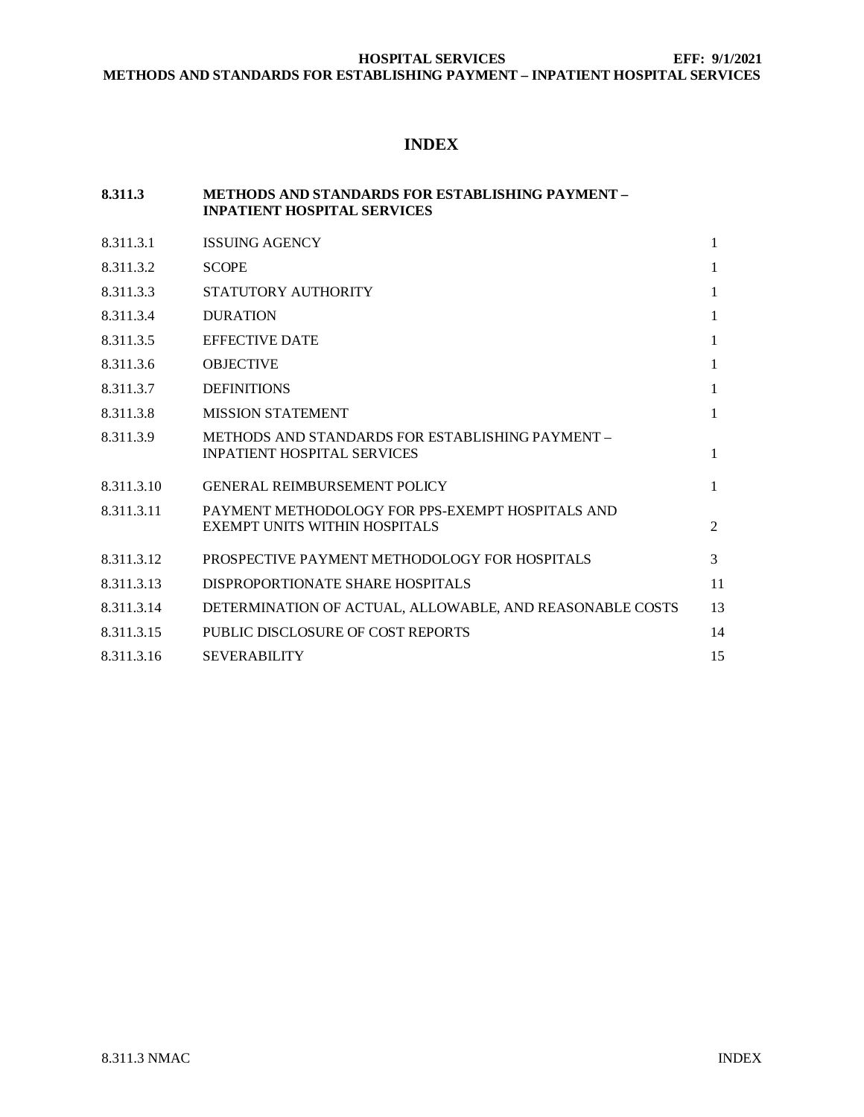# **INDEX**

#### **8.311.3 METHODS AND STANDARDS FOR ESTABLISHING PAYMENT – INPATIENT HOSPITAL SERVICES**

| 8.311.3.1  | <b>ISSUING AGENCY</b>                                                                  | $\mathbf{1}$ |
|------------|----------------------------------------------------------------------------------------|--------------|
| 8.311.3.2  | <b>SCOPE</b>                                                                           | 1            |
| 8.311.3.3  | STATUTORY AUTHORITY                                                                    | $\mathbf{1}$ |
| 8.311.3.4  | <b>DURATION</b>                                                                        | 1            |
| 8.311.3.5  | <b>EFFECTIVE DATE</b>                                                                  | $\mathbf{1}$ |
| 8.311.3.6  | <b>OBJECTIVE</b>                                                                       | 1            |
| 8.311.3.7  | <b>DEFINITIONS</b>                                                                     | 1            |
| 8.311.3.8  | <b>MISSION STATEMENT</b>                                                               | $\mathbf{1}$ |
| 8.311.3.9  | METHODS AND STANDARDS FOR ESTABLISHING PAYMENT -<br><b>INPATIENT HOSPITAL SERVICES</b> | $\mathbf{1}$ |
| 8.311.3.10 | <b>GENERAL REIMBURSEMENT POLICY</b>                                                    | 1            |
| 8.311.3.11 | PAYMENT METHODOLOGY FOR PPS-EXEMPT HOSPITALS AND<br>EXEMPT UNITS WITHIN HOSPITALS      | 2            |
| 8.311.3.12 | PROSPECTIVE PAYMENT METHODOLOGY FOR HOSPITALS                                          | 3            |
| 8.311.3.13 | DISPROPORTIONATE SHARE HOSPITALS                                                       | 11           |
| 8.311.3.14 | DETERMINATION OF ACTUAL, ALLOWABLE, AND REASONABLE COSTS                               | 13           |
| 8.311.3.15 | PUBLIC DISCLOSURE OF COST REPORTS                                                      | 14           |
| 8.311.3.16 | <b>SEVERABILITY</b>                                                                    | 15           |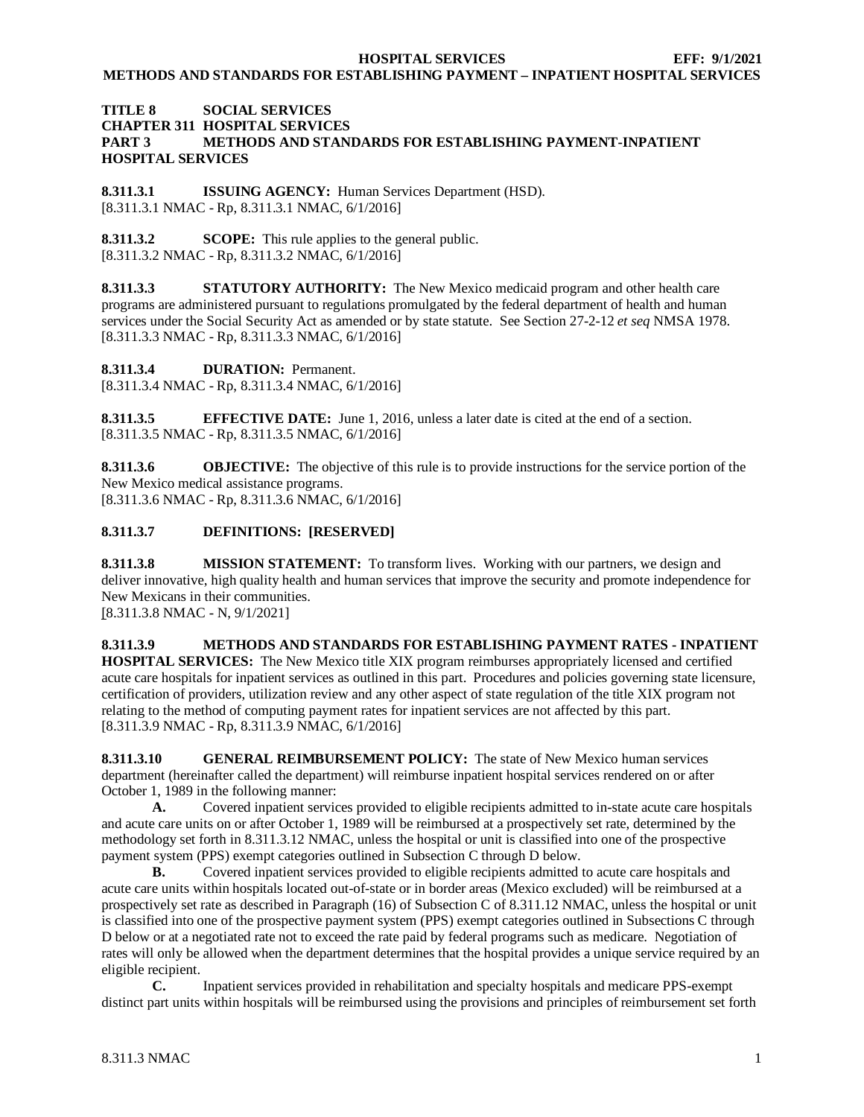**METHODS AND STANDARDS FOR ESTABLISHING PAYMENT – INPATIENT HOSPITAL SERVICES**

# **TITLE 8 SOCIAL SERVICES CHAPTER 311 HOSPITAL SERVICES PART 3 METHODS AND STANDARDS FOR ESTABLISHING PAYMENT-INPATIENT HOSPITAL SERVICES**

<span id="page-1-0"></span>**8.311.3.1 ISSUING AGENCY:** Human Services Department (HSD). [8.311.3.1 NMAC - Rp, 8.311.3.1 NMAC, 6/1/2016]

<span id="page-1-1"></span>**8.311.3.2 SCOPE:** This rule applies to the general public. [8.311.3.2 NMAC - Rp, 8.311.3.2 NMAC, 6/1/2016]

<span id="page-1-2"></span>**8.311.3.3 STATUTORY AUTHORITY:** The New Mexico medicaid program and other health care programs are administered pursuant to regulations promulgated by the federal department of health and human services under the Social Security Act as amended or by state statute. See Section 27-2-12 *et seq* NMSA 1978. [8.311.3.3 NMAC - Rp, 8.311.3.3 NMAC, 6/1/2016]

<span id="page-1-3"></span>**8.311.3.4 DURATION:** Permanent.

[8.311.3.4 NMAC - Rp, 8.311.3.4 NMAC, 6/1/2016]

<span id="page-1-4"></span>**8.311.3.5 EFFECTIVE DATE:** June 1, 2016, unless a later date is cited at the end of a section. [8.311.3.5 NMAC - Rp, 8.311.3.5 NMAC, 6/1/2016]

<span id="page-1-5"></span>**8.311.3.6 OBJECTIVE:** The objective of this rule is to provide instructions for the service portion of the New Mexico medical assistance programs. [8.311.3.6 NMAC - Rp, 8.311.3.6 NMAC, 6/1/2016]

# <span id="page-1-6"></span>**8.311.3.7 DEFINITIONS: [RESERVED]**

<span id="page-1-7"></span>**8.311.3.8 MISSION STATEMENT:** To transform lives. Working with our partners, we design and deliver innovative, high quality health and human services that improve the security and promote independence for New Mexicans in their communities.

[8.311.3.8 NMAC - N, 9/1/2021]

<span id="page-1-8"></span>**8.311.3.9 METHODS AND STANDARDS FOR ESTABLISHING PAYMENT RATES - INPATIENT HOSPITAL SERVICES:** The New Mexico title XIX program reimburses appropriately licensed and certified acute care hospitals for inpatient services as outlined in this part. Procedures and policies governing state licensure, certification of providers, utilization review and any other aspect of state regulation of the title XIX program not relating to the method of computing payment rates for inpatient services are not affected by this part. [8.311.3.9 NMAC - Rp, 8.311.3.9 NMAC, 6/1/2016]

<span id="page-1-9"></span>**8.311.3.10 GENERAL REIMBURSEMENT POLICY:** The state of New Mexico human services department (hereinafter called the department) will reimburse inpatient hospital services rendered on or after October 1, 1989 in the following manner:

**A.** Covered inpatient services provided to eligible recipients admitted to in-state acute care hospitals and acute care units on or after October 1, 1989 will be reimbursed at a prospectively set rate, determined by the methodology set forth in 8.311.3.12 NMAC, unless the hospital or unit is classified into one of the prospective payment system (PPS) exempt categories outlined in Subsection C through D below.

**B.** Covered inpatient services provided to eligible recipients admitted to acute care hospitals and acute care units within hospitals located out-of-state or in border areas (Mexico excluded) will be reimbursed at a prospectively set rate as described in Paragraph (16) of Subsection C of 8.311.12 NMAC, unless the hospital or unit is classified into one of the prospective payment system (PPS) exempt categories outlined in Subsections C through D below or at a negotiated rate not to exceed the rate paid by federal programs such as medicare. Negotiation of rates will only be allowed when the department determines that the hospital provides a unique service required by an eligible recipient.

**C.** Inpatient services provided in rehabilitation and specialty hospitals and medicare PPS-exempt distinct part units within hospitals will be reimbursed using the provisions and principles of reimbursement set forth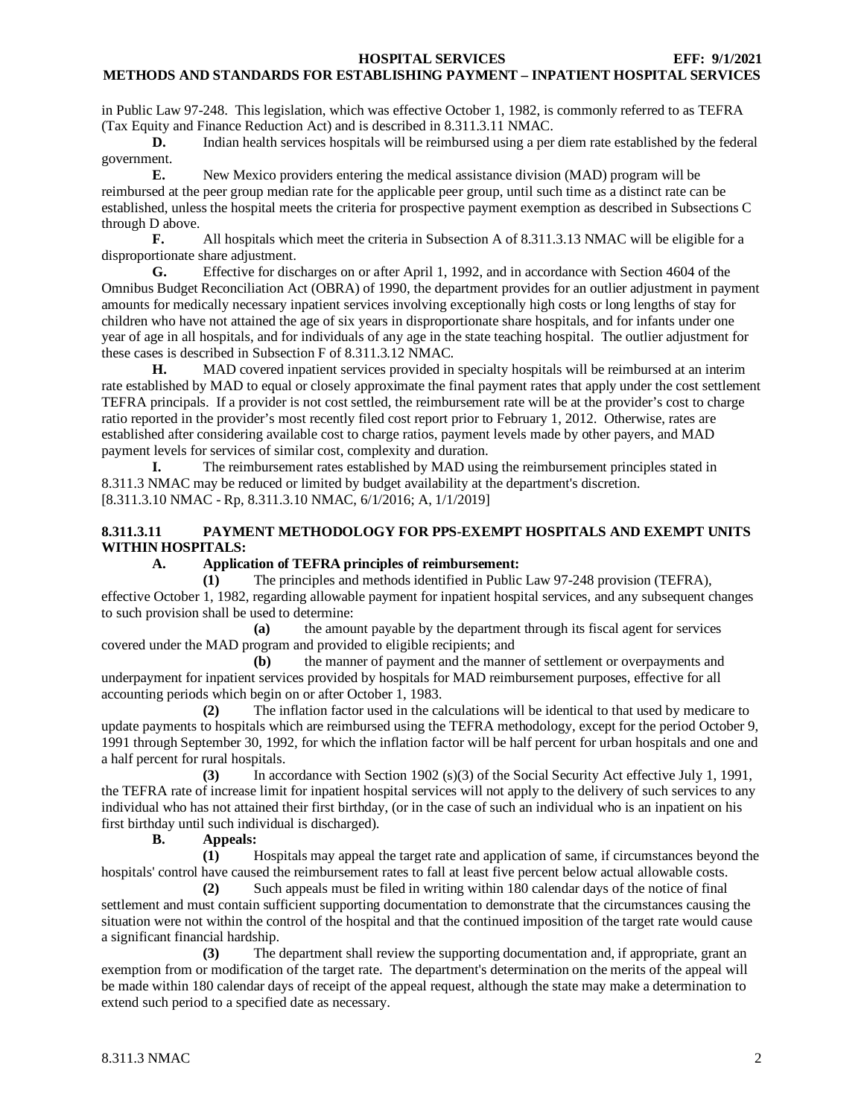in Public Law 97-248. This legislation, which was effective October 1, 1982, is commonly referred to as TEFRA (Tax Equity and Finance Reduction Act) and is described in 8.311.3.11 NMAC.

**D.** Indian health services hospitals will be reimbursed using a per diem rate established by the federal government.

**E.** New Mexico providers entering the medical assistance division (MAD) program will be reimbursed at the peer group median rate for the applicable peer group, until such time as a distinct rate can be established, unless the hospital meets the criteria for prospective payment exemption as described in Subsections C through D above.<br> $\mathbf{F}$ .

**F.** All hospitals which meet the criteria in Subsection A of 8.311.3.13 NMAC will be eligible for a disproportionate share adjustment.

**G.** Effective for discharges on or after April 1, 1992, and in accordance with Section 4604 of the Omnibus Budget Reconciliation Act (OBRA) of 1990, the department provides for an outlier adjustment in payment amounts for medically necessary inpatient services involving exceptionally high costs or long lengths of stay for children who have not attained the age of six years in disproportionate share hospitals, and for infants under one year of age in all hospitals, and for individuals of any age in the state teaching hospital. The outlier adjustment for these cases is described in Subsection F of 8.311.3.12 NMAC.

**H.** MAD covered inpatient services provided in specialty hospitals will be reimbursed at an interim rate established by MAD to equal or closely approximate the final payment rates that apply under the cost settlement TEFRA principals. If a provider is not cost settled, the reimbursement rate will be at the provider's cost to charge ratio reported in the provider's most recently filed cost report prior to February 1, 2012. Otherwise, rates are established after considering available cost to charge ratios, payment levels made by other payers, and MAD payment levels for services of similar cost, complexity and duration.

**I.** The reimbursement rates established by MAD using the reimbursement principles stated in 8.311.3 NMAC may be reduced or limited by budget availability at the department's discretion. [8.311.3.10 NMAC - Rp, 8.311.3.10 NMAC, 6/1/2016; A, 1/1/2019]

# <span id="page-2-0"></span>**8.311.3.11 PAYMENT METHODOLOGY FOR PPS-EXEMPT HOSPITALS AND EXEMPT UNITS WITHIN HOSPITALS:**

# **A. Application of TEFRA principles of reimbursement:**

**(1)** The principles and methods identified in Public Law 97-248 provision (TEFRA), effective October 1, 1982, regarding allowable payment for inpatient hospital services, and any subsequent changes to such provision shall be used to determine:

**(a)** the amount payable by the department through its fiscal agent for services covered under the MAD program and provided to eligible recipients; and

**(b)** the manner of payment and the manner of settlement or overpayments and underpayment for inpatient services provided by hospitals for MAD reimbursement purposes, effective for all accounting periods which begin on or after October 1, 1983.

**(2)** The inflation factor used in the calculations will be identical to that used by medicare to update payments to hospitals which are reimbursed using the TEFRA methodology, except for the period October 9, 1991 through September 30, 1992, for which the inflation factor will be half percent for urban hospitals and one and a half percent for rural hospitals.

**(3)** In accordance with Section 1902 (s)(3) of the Social Security Act effective July 1, 1991, the TEFRA rate of increase limit for inpatient hospital services will not apply to the delivery of such services to any individual who has not attained their first birthday, (or in the case of such an individual who is an inpatient on his first birthday until such individual is discharged).<br>**B.** Appeals:

**B. Appeals:**

**(1)** Hospitals may appeal the target rate and application of same, if circumstances beyond the hospitals' control have caused the reimbursement rates to fall at least five percent below actual allowable costs.

**(2)** Such appeals must be filed in writing within 180 calendar days of the notice of final settlement and must contain sufficient supporting documentation to demonstrate that the circumstances causing the situation were not within the control of the hospital and that the continued imposition of the target rate would cause a significant financial hardship.

**(3)** The department shall review the supporting documentation and, if appropriate, grant an exemption from or modification of the target rate. The department's determination on the merits of the appeal will be made within 180 calendar days of receipt of the appeal request, although the state may make a determination to extend such period to a specified date as necessary.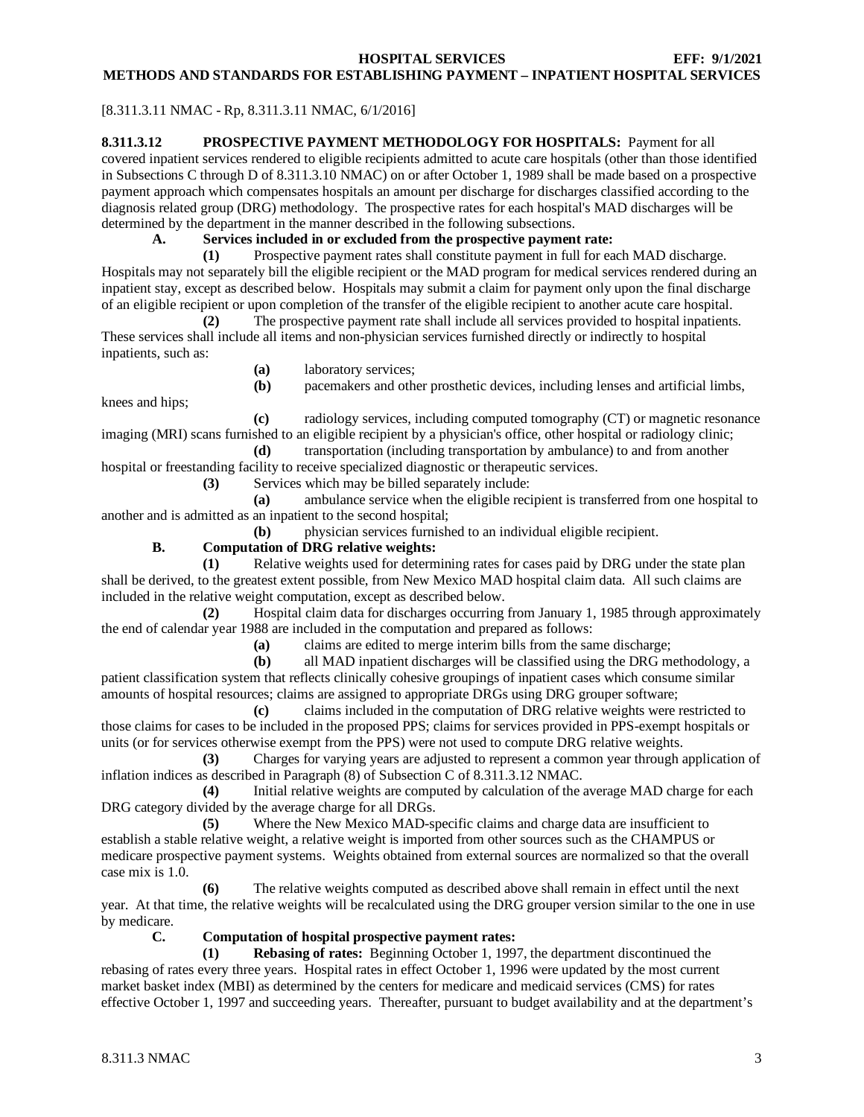# [8.311.3.11 NMAC - Rp, 8.311.3.11 NMAC, 6/1/2016]

<span id="page-3-0"></span>**8.311.3.12 PROSPECTIVE PAYMENT METHODOLOGY FOR HOSPITALS:** Payment for all covered inpatient services rendered to eligible recipients admitted to acute care hospitals (other than those identified in Subsections C through D of 8.311.3.10 NMAC) on or after October 1, 1989 shall be made based on a prospective payment approach which compensates hospitals an amount per discharge for discharges classified according to the diagnosis related group (DRG) methodology. The prospective rates for each hospital's MAD discharges will be determined by the department in the manner described in the following subsections.<br>A. Services included in or excluded from the prospective payment

# **A. Services included in or excluded from the prospective payment rate:**

**(1)** Prospective payment rates shall constitute payment in full for each MAD discharge. Hospitals may not separately bill the eligible recipient or the MAD program for medical services rendered during an inpatient stay, except as described below. Hospitals may submit a claim for payment only upon the final discharge of an eligible recipient or upon completion of the transfer of the eligible recipient to another acute care hospital.

**(2)** The prospective payment rate shall include all services provided to hospital inpatients. These services shall include all items and non-physician services furnished directly or indirectly to hospital inpatients, such as:

**(a)** laboratory services;

**(b)** pacemakers and other prosthetic devices, including lenses and artificial limbs,

knees and hips; **(c)** radiology services, including computed tomography (CT) or magnetic resonance imaging (MRI) scans furnished to an eligible recipient by a physician's office, other hospital or radiology clinic;

**(d)** transportation (including transportation by ambulance) to and from another hospital or freestanding facility to receive specialized diagnostic or therapeutic services.

**(3)** Services which may be billed separately include:

**(a)** ambulance service when the eligible recipient is transferred from one hospital to another and is admitted as an inpatient to the second hospital;

**(b)** physician services furnished to an individual eligible recipient.

# **B. Computation of DRG relative weights:**

**(1)** Relative weights used for determining rates for cases paid by DRG under the state plan shall be derived, to the greatest extent possible, from New Mexico MAD hospital claim data. All such claims are included in the relative weight computation, except as described below.

**(2)** Hospital claim data for discharges occurring from January 1, 1985 through approximately the end of calendar year 1988 are included in the computation and prepared as follows:

**(a)** claims are edited to merge interim bills from the same discharge;

**(b)** all MAD inpatient discharges will be classified using the DRG methodology, a patient classification system that reflects clinically cohesive groupings of inpatient cases which consume similar amounts of hospital resources; claims are assigned to appropriate DRGs using DRG grouper software;

**(c)** claims included in the computation of DRG relative weights were restricted to those claims for cases to be included in the proposed PPS; claims for services provided in PPS-exempt hospitals or units (or for services otherwise exempt from the PPS) were not used to compute DRG relative weights.

**(3)** Charges for varying years are adjusted to represent a common year through application of inflation indices as described in Paragraph (8) of Subsection C of 8.311.3.12 NMAC.

**(4)** Initial relative weights are computed by calculation of the average MAD charge for each DRG category divided by the average charge for all DRGs.

**(5)** Where the New Mexico MAD-specific claims and charge data are insufficient to establish a stable relative weight, a relative weight is imported from other sources such as the CHAMPUS or medicare prospective payment systems. Weights obtained from external sources are normalized so that the overall case mix is 1.0.

**(6)** The relative weights computed as described above shall remain in effect until the next year. At that time, the relative weights will be recalculated using the DRG grouper version similar to the one in use by medicare.

# **C. Computation of hospital prospective payment rates:**

**(1) Rebasing of rates:** Beginning October 1, 1997, the department discontinued the rebasing of rates every three years. Hospital rates in effect October 1, 1996 were updated by the most current market basket index (MBI) as determined by the centers for medicare and medicaid services (CMS) for rates effective October 1, 1997 and succeeding years. Thereafter, pursuant to budget availability and at the department's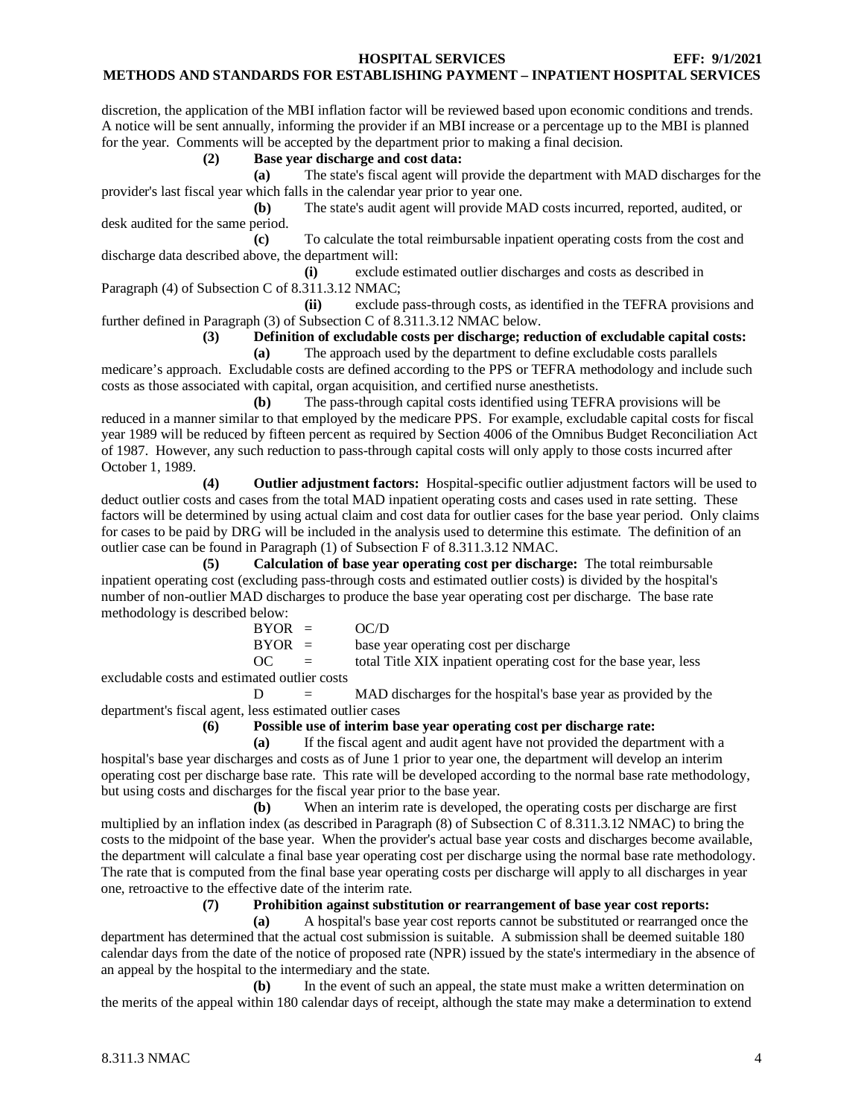#### **METHODS AND STANDARDS FOR ESTABLISHING PAYMENT – INPATIENT HOSPITAL SERVICES**

discretion, the application of the MBI inflation factor will be reviewed based upon economic conditions and trends. A notice will be sent annually, informing the provider if an MBI increase or a percentage up to the MBI is planned for the year. Comments will be accepted by the department prior to making a final decision.

#### **(2) Base year discharge and cost data:**

**(a)** The state's fiscal agent will provide the department with MAD discharges for the provider's last fiscal year which falls in the calendar year prior to year one.

**(b)** The state's audit agent will provide MAD costs incurred, reported, audited, or desk audited for the same period.

**(c)** To calculate the total reimbursable inpatient operating costs from the cost and discharge data described above, the department will:

**(i)** exclude estimated outlier discharges and costs as described in Paragraph (4) of Subsection C of 8.311.3.12 NMAC;

**(ii)** exclude pass-through costs, as identified in the TEFRA provisions and further defined in Paragraph (3) of Subsection C of 8.311.3.12 NMAC below.

**(3) Definition of excludable costs per discharge; reduction of excludable capital costs:**

**(a)** The approach used by the department to define excludable costs parallels medicare's approach. Excludable costs are defined according to the PPS or TEFRA methodology and include such costs as those associated with capital, organ acquisition, and certified nurse anesthetists.

**(b)** The pass-through capital costs identified using TEFRA provisions will be reduced in a manner similar to that employed by the medicare PPS. For example, excludable capital costs for fiscal year 1989 will be reduced by fifteen percent as required by Section 4006 of the Omnibus Budget Reconciliation Act of 1987. However, any such reduction to pass-through capital costs will only apply to those costs incurred after October 1, 1989.

**(4) Outlier adjustment factors:** Hospital-specific outlier adjustment factors will be used to deduct outlier costs and cases from the total MAD inpatient operating costs and cases used in rate setting. These factors will be determined by using actual claim and cost data for outlier cases for the base year period. Only claims for cases to be paid by DRG will be included in the analysis used to determine this estimate. The definition of an outlier case can be found in Paragraph (1) of Subsection F of 8.311.3.12 NMAC.

**(5) Calculation of base year operating cost per discharge:** The total reimbursable inpatient operating cost (excluding pass-through costs and estimated outlier costs) is divided by the hospital's number of non-outlier MAD discharges to produce the base year operating cost per discharge. The base rate methodology is described below:

| $BYOR =$   | OC/D                                                             |
|------------|------------------------------------------------------------------|
| $BYOR =$   | base year operating cost per discharge                           |
| OC.<br>$=$ | total Title XIX inpatient operating cost for the base year, less |

excludable costs and estimated outlier costs

D = MAD discharges for the hospital's base year as provided by the department's fiscal agent, less estimated outlier cases

# **(6) Possible use of interim base year operating cost per discharge rate:**

**(a)** If the fiscal agent and audit agent have not provided the department with a hospital's base year discharges and costs as of June 1 prior to year one, the department will develop an interim operating cost per discharge base rate. This rate will be developed according to the normal base rate methodology, but using costs and discharges for the fiscal year prior to the base year.

**(b)** When an interim rate is developed, the operating costs per discharge are first multiplied by an inflation index (as described in Paragraph (8) of Subsection C of 8.311.3.12 NMAC) to bring the costs to the midpoint of the base year. When the provider's actual base year costs and discharges become available, the department will calculate a final base year operating cost per discharge using the normal base rate methodology. The rate that is computed from the final base year operating costs per discharge will apply to all discharges in year one, retroactive to the effective date of the interim rate.

**(7) Prohibition against substitution or rearrangement of base year cost reports:**

**(a)** A hospital's base year cost reports cannot be substituted or rearranged once the department has determined that the actual cost submission is suitable. A submission shall be deemed suitable 180 calendar days from the date of the notice of proposed rate (NPR) issued by the state's intermediary in the absence of an appeal by the hospital to the intermediary and the state.

**(b)** In the event of such an appeal, the state must make a written determination on the merits of the appeal within 180 calendar days of receipt, although the state may make a determination to extend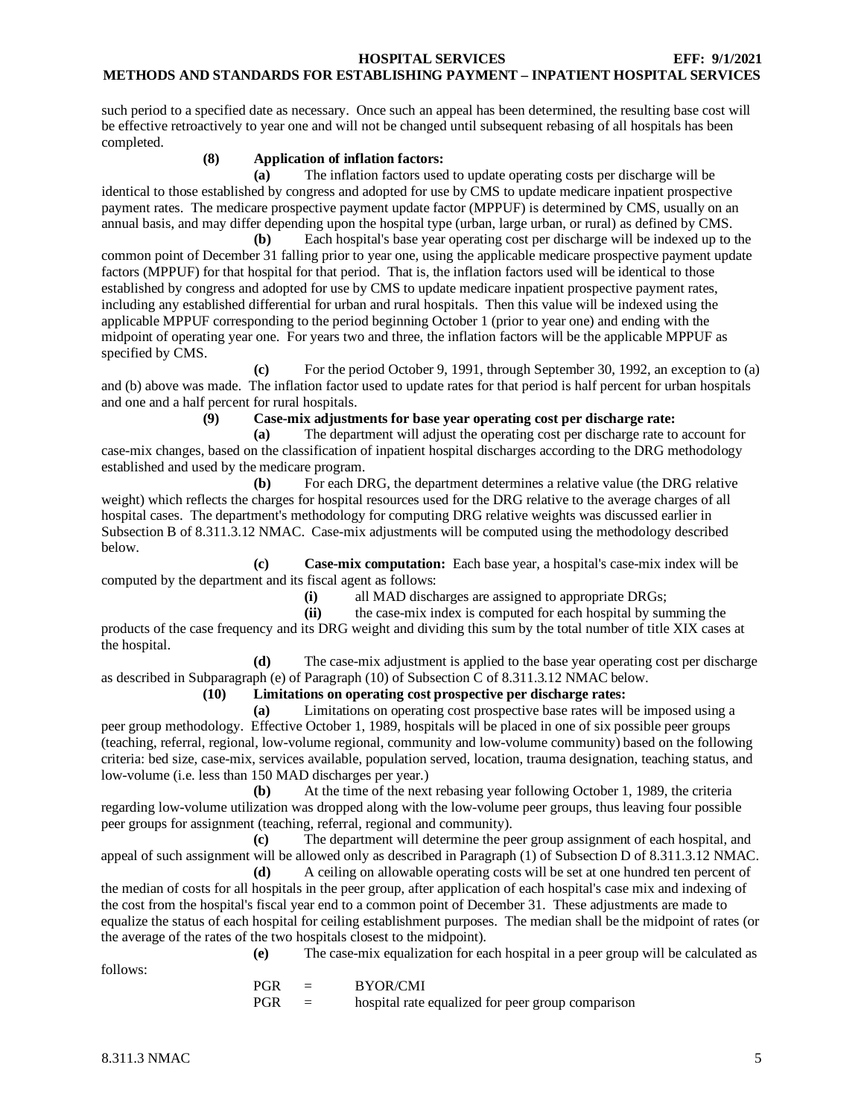such period to a specified date as necessary. Once such an appeal has been determined, the resulting base cost will be effective retroactively to year one and will not be changed until subsequent rebasing of all hospitals has been completed.

# **(8) Application of inflation factors:**

**(a)** The inflation factors used to update operating costs per discharge will be identical to those established by congress and adopted for use by CMS to update medicare inpatient prospective payment rates. The medicare prospective payment update factor (MPPUF) is determined by CMS, usually on an annual basis, and may differ depending upon the hospital type (urban, large urban, or rural) as defined by CMS.

**(b)** Each hospital's base year operating cost per discharge will be indexed up to the common point of December 31 falling prior to year one, using the applicable medicare prospective payment update factors (MPPUF) for that hospital for that period. That is, the inflation factors used will be identical to those established by congress and adopted for use by CMS to update medicare inpatient prospective payment rates, including any established differential for urban and rural hospitals. Then this value will be indexed using the applicable MPPUF corresponding to the period beginning October 1 (prior to year one) and ending with the midpoint of operating year one. For years two and three, the inflation factors will be the applicable MPPUF as specified by CMS.

**(c)** For the period October 9, 1991, through September 30, 1992, an exception to (a) and (b) above was made. The inflation factor used to update rates for that period is half percent for urban hospitals and one and a half percent for rural hospitals.

**(9) Case-mix adjustments for base year operating cost per discharge rate:**

**(a)** The department will adjust the operating cost per discharge rate to account for case-mix changes, based on the classification of inpatient hospital discharges according to the DRG methodology established and used by the medicare program.

**(b)** For each DRG, the department determines a relative value (the DRG relative weight) which reflects the charges for hospital resources used for the DRG relative to the average charges of all hospital cases. The department's methodology for computing DRG relative weights was discussed earlier in Subsection B of 8.311.3.12 NMAC. Case-mix adjustments will be computed using the methodology described below.

**(c) Case-mix computation:** Each base year, a hospital's case-mix index will be computed by the department and its fiscal agent as follows:

(i) all MAD discharges are assigned to appropriate DRGs;<br>(ii) the case-mix index is computed for each hospital by sur-

**(ii)** the case-mix index is computed for each hospital by summing the products of the case frequency and its DRG weight and dividing this sum by the total number of title XIX cases at the hospital.

**(d)** The case-mix adjustment is applied to the base year operating cost per discharge as described in Subparagraph (e) of Paragraph (10) of Subsection C of 8.311.3.12 NMAC below.

# **(10) Limitations on operating cost prospective per discharge rates:**

**(a)** Limitations on operating cost prospective base rates will be imposed using a peer group methodology. Effective October 1, 1989, hospitals will be placed in one of six possible peer groups (teaching, referral, regional, low-volume regional, community and low-volume community) based on the following criteria: bed size, case-mix, services available, population served, location, trauma designation, teaching status, and low-volume (i.e. less than 150 MAD discharges per year.)

**(b)** At the time of the next rebasing year following October 1, 1989, the criteria regarding low-volume utilization was dropped along with the low-volume peer groups, thus leaving four possible peer groups for assignment (teaching, referral, regional and community).

**(c)** The department will determine the peer group assignment of each hospital, and appeal of such assignment will be allowed only as described in Paragraph (1) of Subsection D of 8.311.3.12 NMAC.

**(d)** A ceiling on allowable operating costs will be set at one hundred ten percent of the median of costs for all hospitals in the peer group, after application of each hospital's case mix and indexing of the cost from the hospital's fiscal year end to a common point of December 31. These adjustments are made to equalize the status of each hospital for ceiling establishment purposes. The median shall be the midpoint of rates (or the average of the rates of the two hospitals closest to the midpoint).

follows:

**(e)** The case-mix equalization for each hospital in a peer group will be calculated as

PGR = BYOR/CMI  $PGR =$  hospital rate equalized for peer group comparison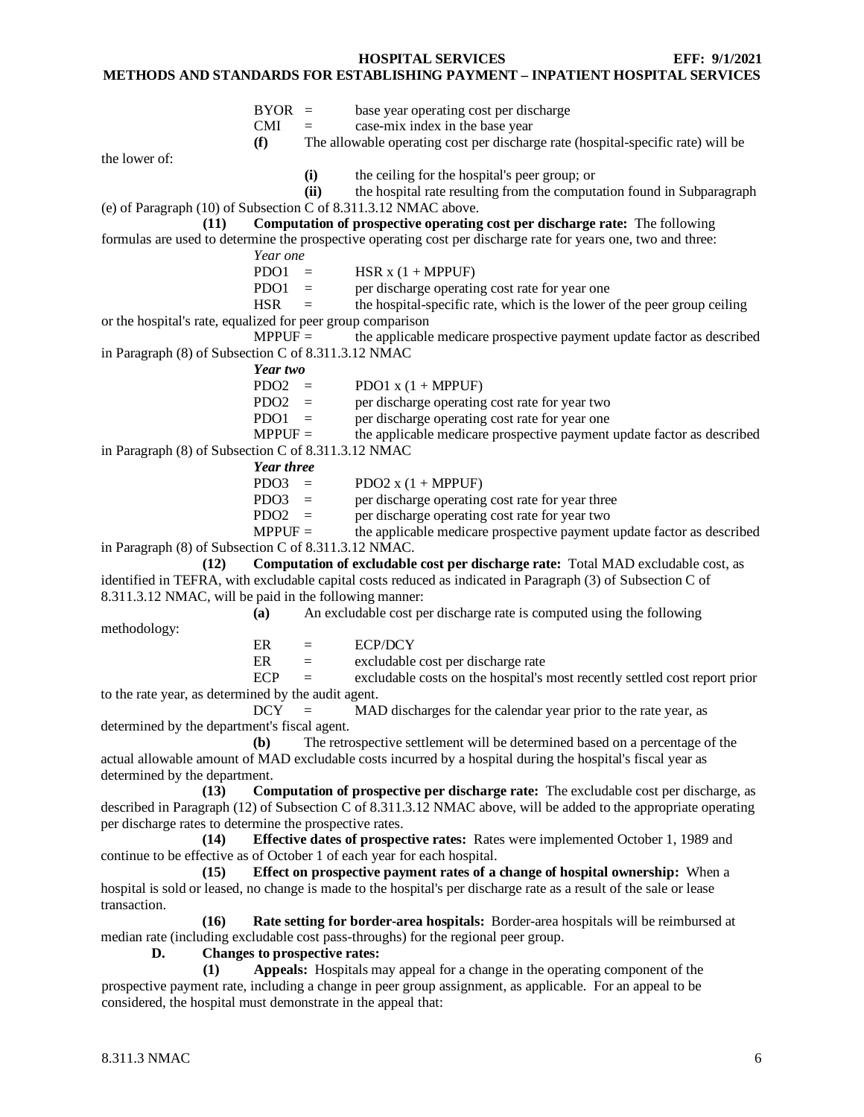#### **METHODS AND STANDARDS FOR ESTABLISHING PAYMENT – INPATIENT HOSPITAL SERVICES**

| <b>BYOR</b> | base year operating cost per discharge |  |
|-------------|----------------------------------------|--|
|-------------|----------------------------------------|--|

 $CMI = \cose-mix \text{ index in the base year}$ 

**(f)** The allowable operating cost per discharge rate (hospital-specific rate) will be

the lower of:

**(i)** the ceiling for the hospital's peer group; or

**(ii)** the hospital rate resulting from the computation found in Subparagraph

(e) of Paragraph (10) of Subsection C of 8.311.3.12 NMAC above.

**(11) Computation of prospective operating cost per discharge rate:** The following formulas are used to determine the prospective operating cost per discharge rate for years one, two and three:

*Year one*

PDO1 = HSR  $x(1 + MPPUF)$ 

PDO1 = per discharge operating cost rate for year one<br>HSR = the hospital-specific rate, which is the lower  $\equiv$  the hospital-specific rate, which is the lower of the peer group ceiling

or the hospital's rate, equalized for peer group comparison

 $MPPUF =$  the applicable medicare prospective payment update factor as described in Paragraph (8) of Subsection C of 8.311.3.12 NMAC

*Year two*

 $PDO2 = PDO1 x (1 + MPPUF)$ 

PDO2 = per discharge operating cost rate for year two

PDO1 = per discharge operating cost rate for year one<br>MPPUF = the applicable medicare prospective payment the applicable medicare prospective payment update factor as described in Paragraph (8) of Subsection C of 8.311.3.12 NMAC

*Year three*<br>PDO3 =

PDO2  $x$  (1 + MPPUF)

PDO3 = per discharge operating cost rate for year three<br>PDO2 = per discharge operating cost rate for year two

per discharge operating cost rate for year two

 $MPPUF =$  the applicable medicare prospective payment update factor as described in Paragraph (8) of Subsection C of 8.311.3.12 NMAC.

**(12) Computation of excludable cost per discharge rate:** Total MAD excludable cost, as identified in TEFRA, with excludable capital costs reduced as indicated in Paragraph (3) of Subsection C of 8.311.3.12 NMAC, will be paid in the following manner:

**(a)** An excludable cost per discharge rate is computed using the following

methodology:

 $ER = ECP/DCY$ 

 $ER =$  excludable cost per discharge rate

 $ECP =$  excludable costs on the hospital's most recently settled cost report prior to the rate year, as determined by the audit agent.

 $DCY = MAD$  discharges for the calendar year prior to the rate year, as determined by the department's fiscal agent.

**(b)** The retrospective settlement will be determined based on a percentage of the actual allowable amount of MAD excludable costs incurred by a hospital during the hospital's fiscal year as determined by the department.

**(13) Computation of prospective per discharge rate:** The excludable cost per discharge, as described in Paragraph (12) of Subsection C of 8.311.3.12 NMAC above, will be added to the appropriate operating per discharge rates to determine the prospective rates.

**(14) Effective dates of prospective rates:** Rates were implemented October 1, 1989 and continue to be effective as of October 1 of each year for each hospital.

**(15) Effect on prospective payment rates of a change of hospital ownership:** When a hospital is sold or leased, no change is made to the hospital's per discharge rate as a result of the sale or lease transaction.

**(16) Rate setting for border-area hospitals:** Border-area hospitals will be reimbursed at median rate (including excludable cost pass-throughs) for the regional peer group.

**D. Changes to prospective rates:**

**(1) Appeals:** Hospitals may appeal for a change in the operating component of the prospective payment rate, including a change in peer group assignment, as applicable. For an appeal to be considered, the hospital must demonstrate in the appeal that: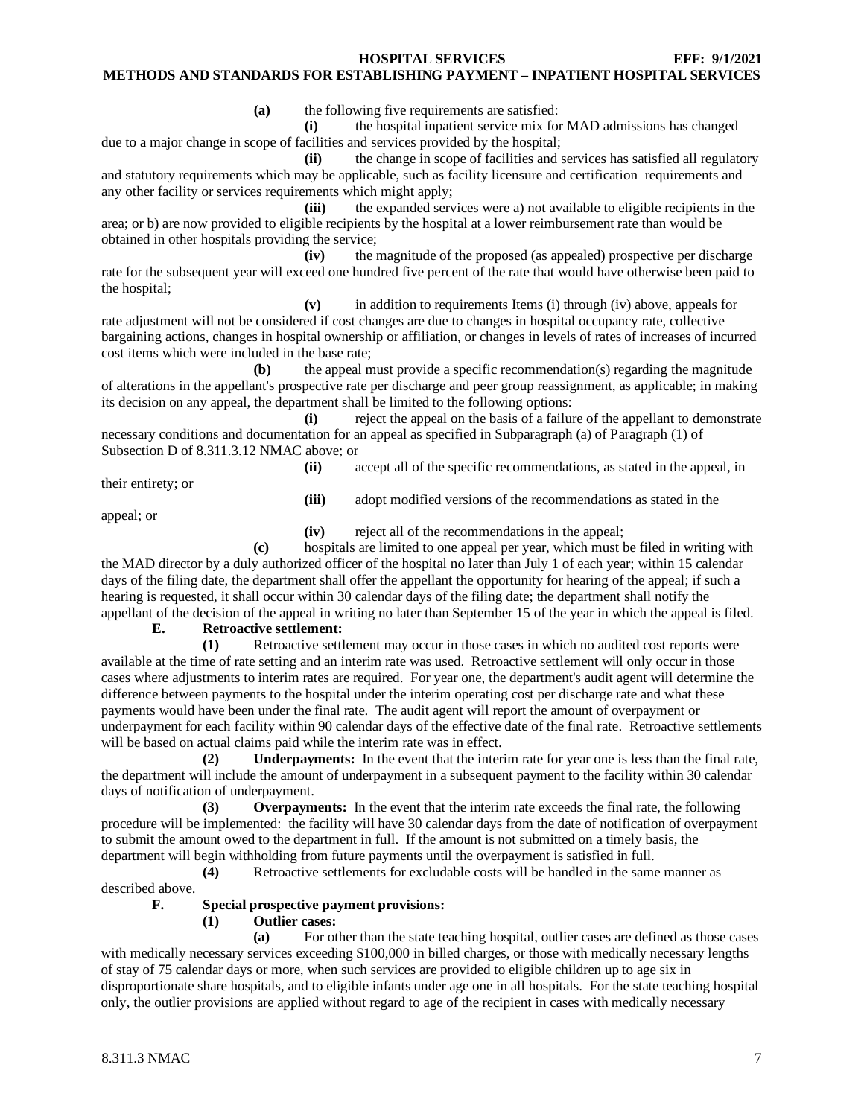**(a)** the following five requirements are satisfied:

**(i)** the hospital inpatient service mix for MAD admissions has changed due to a major change in scope of facilities and services provided by the hospital;

**(ii)** the change in scope of facilities and services has satisfied all regulatory and statutory requirements which may be applicable, such as facility licensure and certification requirements and any other facility or services requirements which might apply;

**(iii)** the expanded services were a) not available to eligible recipients in the area; or b) are now provided to eligible recipients by the hospital at a lower reimbursement rate than would be obtained in other hospitals providing the service;

**(iv)** the magnitude of the proposed (as appealed) prospective per discharge rate for the subsequent year will exceed one hundred five percent of the rate that would have otherwise been paid to the hospital;

**(v)** in addition to requirements Items (i) through (iv) above, appeals for

rate adjustment will not be considered if cost changes are due to changes in hospital occupancy rate, collective bargaining actions, changes in hospital ownership or affiliation, or changes in levels of rates of increases of incurred cost items which were included in the base rate;

**(b)** the appeal must provide a specific recommendation(s) regarding the magnitude of alterations in the appellant's prospective rate per discharge and peer group reassignment, as applicable; in making its decision on any appeal, the department shall be limited to the following options:

**(i)** reject the appeal on the basis of a failure of the appellant to demonstrate necessary conditions and documentation for an appeal as specified in Subparagraph (a) of Paragraph (1) of Subsection D of 8.311.3.12 NMAC above; or

their entirety; or

**(ii)** accept all of the specific recommendations, as stated in the appeal, in

**(iii)** adopt modified versions of the recommendations as stated in the

appeal; or

**(iv)** reject all of the recommendations in the appeal;

**(c)** hospitals are limited to one appeal per year, which must be filed in writing with the MAD director by a duly authorized officer of the hospital no later than July 1 of each year; within 15 calendar days of the filing date, the department shall offer the appellant the opportunity for hearing of the appeal; if such a hearing is requested, it shall occur within 30 calendar days of the filing date; the department shall notify the appellant of the decision of the appeal in writing no later than September 15 of the year in which the appeal is filed.

# **E. Retroactive settlement:**

**(1)** Retroactive settlement may occur in those cases in which no audited cost reports were available at the time of rate setting and an interim rate was used. Retroactive settlement will only occur in those cases where adjustments to interim rates are required. For year one, the department's audit agent will determine the difference between payments to the hospital under the interim operating cost per discharge rate and what these payments would have been under the final rate. The audit agent will report the amount of overpayment or underpayment for each facility within 90 calendar days of the effective date of the final rate. Retroactive settlements will be based on actual claims paid while the interim rate was in effect.

**(2) Underpayments:** In the event that the interim rate for year one is less than the final rate, the department will include the amount of underpayment in a subsequent payment to the facility within 30 calendar days of notification of underpayment.

**(3) Overpayments:** In the event that the interim rate exceeds the final rate, the following procedure will be implemented: the facility will have 30 calendar days from the date of notification of overpayment to submit the amount owed to the department in full. If the amount is not submitted on a timely basis, the department will begin withholding from future payments until the overpayment is satisfied in full.

**(4)** Retroactive settlements for excludable costs will be handled in the same manner as described above.

# **F. Special prospective payment provisions:**

# **(1) Outlier cases:**

**(a)** For other than the state teaching hospital, outlier cases are defined as those cases with medically necessary services exceeding \$100,000 in billed charges, or those with medically necessary lengths of stay of 75 calendar days or more, when such services are provided to eligible children up to age six in disproportionate share hospitals, and to eligible infants under age one in all hospitals. For the state teaching hospital only, the outlier provisions are applied without regard to age of the recipient in cases with medically necessary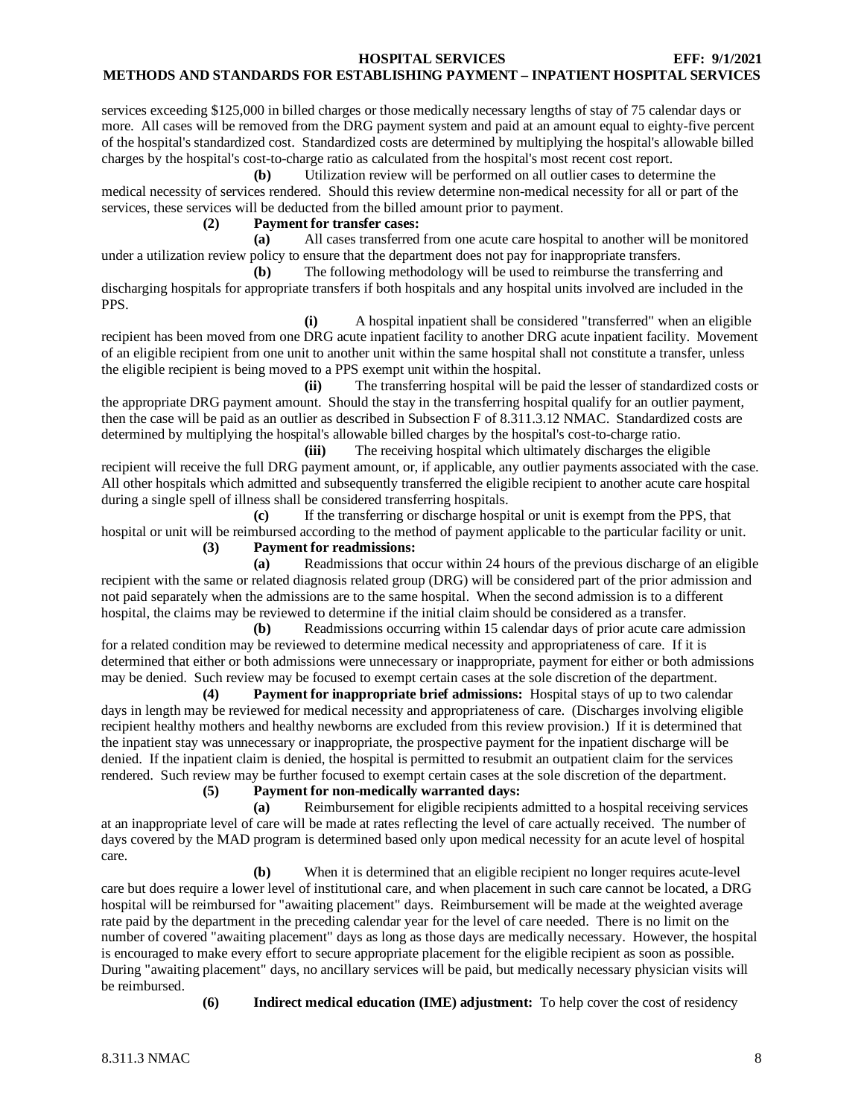services exceeding \$125,000 in billed charges or those medically necessary lengths of stay of 75 calendar days or more. All cases will be removed from the DRG payment system and paid at an amount equal to eighty-five percent of the hospital's standardized cost. Standardized costs are determined by multiplying the hospital's allowable billed charges by the hospital's cost-to-charge ratio as calculated from the hospital's most recent cost report.

**(b)** Utilization review will be performed on all outlier cases to determine the medical necessity of services rendered. Should this review determine non-medical necessity for all or part of the services, these services will be deducted from the billed amount prior to payment.

# **(2) Payment for transfer cases:**

**(a)** All cases transferred from one acute care hospital to another will be monitored under a utilization review policy to ensure that the department does not pay for inappropriate transfers.

**(b)** The following methodology will be used to reimburse the transferring and discharging hospitals for appropriate transfers if both hospitals and any hospital units involved are included in the PPS.

**(i)** A hospital inpatient shall be considered "transferred" when an eligible recipient has been moved from one DRG acute inpatient facility to another DRG acute inpatient facility. Movement of an eligible recipient from one unit to another unit within the same hospital shall not constitute a transfer, unless the eligible recipient is being moved to a PPS exempt unit within the hospital.

**(ii)** The transferring hospital will be paid the lesser of standardized costs or the appropriate DRG payment amount. Should the stay in the transferring hospital qualify for an outlier payment, then the case will be paid as an outlier as described in Subsection F of 8.311.3.12 NMAC. Standardized costs are determined by multiplying the hospital's allowable billed charges by the hospital's cost-to-charge ratio.

**(iii)** The receiving hospital which ultimately discharges the eligible recipient will receive the full DRG payment amount, or, if applicable, any outlier payments associated with the case. All other hospitals which admitted and subsequently transferred the eligible recipient to another acute care hospital during a single spell of illness shall be considered transferring hospitals.

**(c)** If the transferring or discharge hospital or unit is exempt from the PPS, that hospital or unit will be reimbursed according to the method of payment applicable to the particular facility or unit. **(3) Payment for readmissions:**

**(a)** Readmissions that occur within 24 hours of the previous discharge of an eligible recipient with the same or related diagnosis related group (DRG) will be considered part of the prior admission and not paid separately when the admissions are to the same hospital. When the second admission is to a different hospital, the claims may be reviewed to determine if the initial claim should be considered as a transfer.

**(b)** Readmissions occurring within 15 calendar days of prior acute care admission for a related condition may be reviewed to determine medical necessity and appropriateness of care. If it is determined that either or both admissions were unnecessary or inappropriate, payment for either or both admissions may be denied. Such review may be focused to exempt certain cases at the sole discretion of the department.

**(4) Payment for inappropriate brief admissions:** Hospital stays of up to two calendar days in length may be reviewed for medical necessity and appropriateness of care. (Discharges involving eligible recipient healthy mothers and healthy newborns are excluded from this review provision.) If it is determined that the inpatient stay was unnecessary or inappropriate, the prospective payment for the inpatient discharge will be denied. If the inpatient claim is denied, the hospital is permitted to resubmit an outpatient claim for the services rendered. Such review may be further focused to exempt certain cases at the sole discretion of the department.

**(5) Payment for non-medically warranted days:**

**(a)** Reimbursement for eligible recipients admitted to a hospital receiving services at an inappropriate level of care will be made at rates reflecting the level of care actually received. The number of days covered by the MAD program is determined based only upon medical necessity for an acute level of hospital care.

**(b)** When it is determined that an eligible recipient no longer requires acute-level care but does require a lower level of institutional care, and when placement in such care cannot be located, a DRG hospital will be reimbursed for "awaiting placement" days. Reimbursement will be made at the weighted average rate paid by the department in the preceding calendar year for the level of care needed. There is no limit on the number of covered "awaiting placement" days as long as those days are medically necessary. However, the hospital is encouraged to make every effort to secure appropriate placement for the eligible recipient as soon as possible. During "awaiting placement" days, no ancillary services will be paid, but medically necessary physician visits will be reimbursed.

**(6) Indirect medical education (IME) adjustment:** To help cover the cost of residency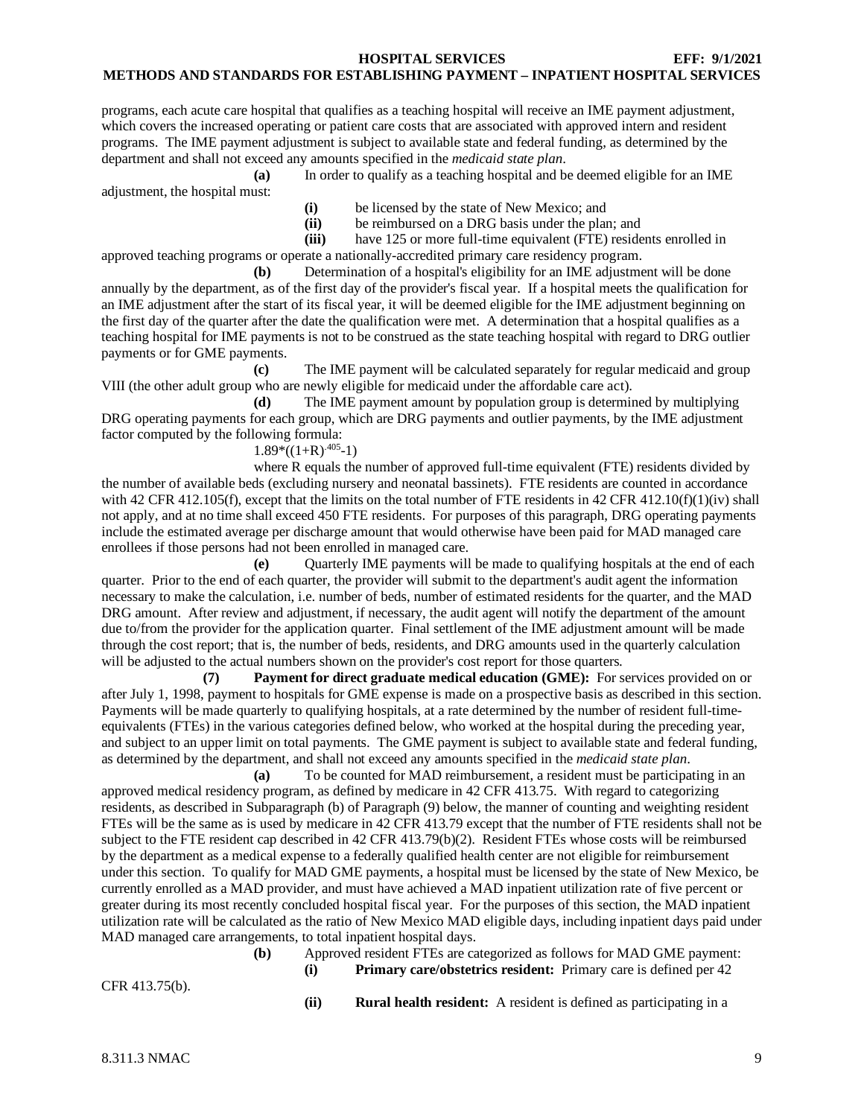programs, each acute care hospital that qualifies as a teaching hospital will receive an IME payment adjustment, which covers the increased operating or patient care costs that are associated with approved intern and resident programs. The IME payment adjustment is subject to available state and federal funding, as determined by the department and shall not exceed any amounts specified in the *medicaid state plan*.

**(a)** In order to qualify as a teaching hospital and be deemed eligible for an IME adjustment, the hospital must:

- **(i)** be licensed by the state of New Mexico; and
- (ii) be reimbursed on a DRG basis under the plan; and<br>(iii) have 125 or more full-time equivalent (FTE) reside
- have 125 or more full-time equivalent (FTE) residents enrolled in

approved teaching programs or operate a nationally-accredited primary care residency program.

**(b)** Determination of a hospital's eligibility for an IME adjustment will be done annually by the department, as of the first day of the provider's fiscal year. If a hospital meets the qualification for an IME adjustment after the start of its fiscal year, it will be deemed eligible for the IME adjustment beginning on the first day of the quarter after the date the qualification were met. A determination that a hospital qualifies as a teaching hospital for IME payments is not to be construed as the state teaching hospital with regard to DRG outlier payments or for GME payments.

**(c)** The IME payment will be calculated separately for regular medicaid and group VIII (the other adult group who are newly eligible for medicaid under the affordable care act).

**(d)** The IME payment amount by population group is determined by multiplying DRG operating payments for each group, which are DRG payments and outlier payments, by the IME adjustment factor computed by the following formula:

# $1.89*((1+R)^{0.405}-1)$

where R equals the number of approved full-time equivalent (FTE) residents divided by the number of available beds (excluding nursery and neonatal bassinets). FTE residents are counted in accordance with 42 CFR 412.105(f), except that the limits on the total number of FTE residents in 42 CFR 412.10(f)(1)(iv) shall not apply, and at no time shall exceed 450 FTE residents. For purposes of this paragraph, DRG operating payments include the estimated average per discharge amount that would otherwise have been paid for MAD managed care enrollees if those persons had not been enrolled in managed care.

**(e)** Quarterly IME payments will be made to qualifying hospitals at the end of each quarter. Prior to the end of each quarter, the provider will submit to the department's audit agent the information necessary to make the calculation, i.e. number of beds, number of estimated residents for the quarter, and the MAD DRG amount. After review and adjustment, if necessary, the audit agent will notify the department of the amount due to/from the provider for the application quarter. Final settlement of the IME adjustment amount will be made through the cost report; that is, the number of beds, residents, and DRG amounts used in the quarterly calculation will be adjusted to the actual numbers shown on the provider's cost report for those quarters.

**(7) Payment for direct graduate medical education (GME):** For services provided on or after July 1, 1998, payment to hospitals for GME expense is made on a prospective basis as described in this section. Payments will be made quarterly to qualifying hospitals, at a rate determined by the number of resident full-timeequivalents (FTEs) in the various categories defined below, who worked at the hospital during the preceding year, and subject to an upper limit on total payments. The GME payment is subject to available state and federal funding, as determined by the department, and shall not exceed any amounts specified in the *medicaid state plan*.

**(a)** To be counted for MAD reimbursement, a resident must be participating in an approved medical residency program, as defined by medicare in 42 CFR 413.75. With regard to categorizing residents, as described in Subparagraph (b) of Paragraph (9) below, the manner of counting and weighting resident FTEs will be the same as is used by medicare in 42 CFR 413.79 except that the number of FTE residents shall not be subject to the FTE resident cap described in 42 CFR 413.79(b)(2). Resident FTEs whose costs will be reimbursed by the department as a medical expense to a federally qualified health center are not eligible for reimbursement under this section. To qualify for MAD GME payments, a hospital must be licensed by the state of New Mexico, be currently enrolled as a MAD provider, and must have achieved a MAD inpatient utilization rate of five percent or greater during its most recently concluded hospital fiscal year. For the purposes of this section, the MAD inpatient utilization rate will be calculated as the ratio of New Mexico MAD eligible days, including inpatient days paid under MAD managed care arrangements, to total inpatient hospital days.

**(b)** Approved resident FTEs are categorized as follows for MAD GME payment: **(i) Primary care/obstetrics resident:** Primary care is defined per 42

CFR 413.75(b).

**(ii) Rural health resident:** A resident is defined as participating in a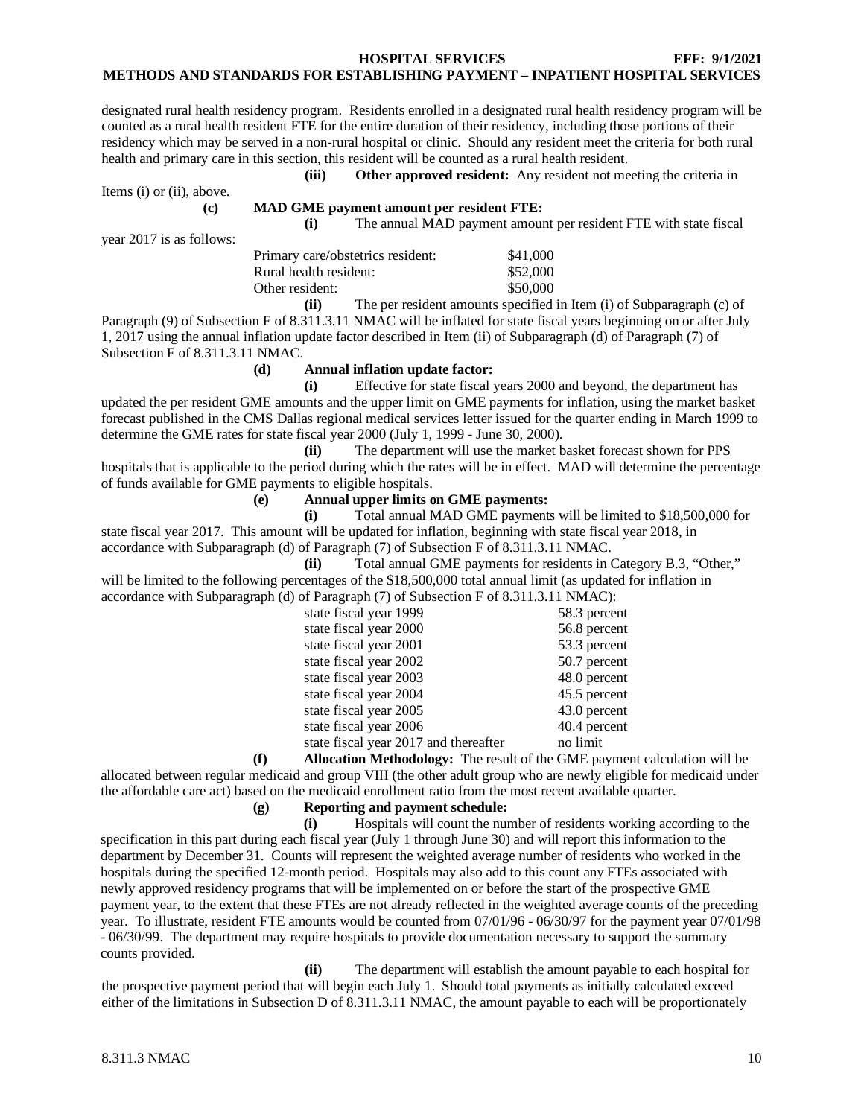designated rural health residency program. Residents enrolled in a designated rural health residency program will be counted as a rural health resident FTE for the entire duration of their residency, including those portions of their residency which may be served in a non-rural hospital or clinic. Should any resident meet the criteria for both rural health and primary care in this section, this resident will be counted as a rural health resident.

**(iii) Other approved resident:** Any resident not meeting the criteria in

Items (i) or (ii), above.

#### **(c) MAD GME payment amount per resident FTE:**

**(i)** The annual MAD payment amount per resident FTE with state fiscal

year 2017 is as follows:

| Primary care/obstetrics resident: | \$41,000 |
|-----------------------------------|----------|
| Rural health resident:            | \$52,000 |
| Other resident:                   | \$50,000 |
|                                   |          |

**(ii)** The per resident amounts specified in Item (i) of Subparagraph (c) of Paragraph (9) of Subsection F of 8.311.3.11 NMAC will be inflated for state fiscal years beginning on or after July 1, 2017 using the annual inflation update factor described in Item (ii) of Subparagraph (d) of Paragraph (7) of Subsection F of 8.311.3.11 NMAC.

#### **(d) Annual inflation update factor:**

**(i)** Effective for state fiscal years 2000 and beyond, the department has updated the per resident GME amounts and the upper limit on GME payments for inflation, using the market basket forecast published in the CMS Dallas regional medical services letter issued for the quarter ending in March 1999 to determine the GME rates for state fiscal year 2000 (July 1, 1999 - June 30, 2000).

**(ii)** The department will use the market basket forecast shown for PPS hospitals that is applicable to the period during which the rates will be in effect. MAD will determine the percentage of funds available for GME payments to eligible hospitals.

#### **(e) Annual upper limits on GME payments:**

**(i)** Total annual MAD GME payments will be limited to \$18,500,000 for state fiscal year 2017. This amount will be updated for inflation, beginning with state fiscal year 2018, in accordance with Subparagraph (d) of Paragraph (7) of Subsection F of 8.311.3.11 NMAC.

**(ii)** Total annual GME payments for residents in Category B.3, "Other," will be limited to the following percentages of the \$18,500,000 total annual limit (as updated for inflation in accordance with Subparagraph (d) of Paragraph (7) of Subsection F of 8.311.3.11 NMAC):

| state fiscal year 1999                | 58.3 percent |
|---------------------------------------|--------------|
| state fiscal year 2000                | 56.8 percent |
| state fiscal year 2001                | 53.3 percent |
| state fiscal year 2002                | 50.7 percent |
| state fiscal year 2003                | 48.0 percent |
| state fiscal year 2004                | 45.5 percent |
| state fiscal year 2005                | 43.0 percent |
| state fiscal year 2006                | 40.4 percent |
| state fiscal year 2017 and thereafter | no limit     |

**(f) Allocation Methodology:** The result of the GME payment calculation will be allocated between regular medicaid and group VIII (the other adult group who are newly eligible for medicaid under the affordable care act) based on the medicaid enrollment ratio from the most recent available quarter.

# **(g) Reporting and payment schedule:**

**(i)** Hospitals will count the number of residents working according to the specification in this part during each fiscal year (July 1 through June 30) and will report this information to the department by December 31. Counts will represent the weighted average number of residents who worked in the hospitals during the specified 12-month period. Hospitals may also add to this count any FTEs associated with newly approved residency programs that will be implemented on or before the start of the prospective GME payment year, to the extent that these FTEs are not already reflected in the weighted average counts of the preceding year. To illustrate, resident FTE amounts would be counted from 07/01/96 - 06/30/97 for the payment year 07/01/98 - 06/30/99. The department may require hospitals to provide documentation necessary to support the summary counts provided.

**(ii)** The department will establish the amount payable to each hospital for the prospective payment period that will begin each July 1. Should total payments as initially calculated exceed either of the limitations in Subsection D of 8.311.3.11 NMAC, the amount payable to each will be proportionately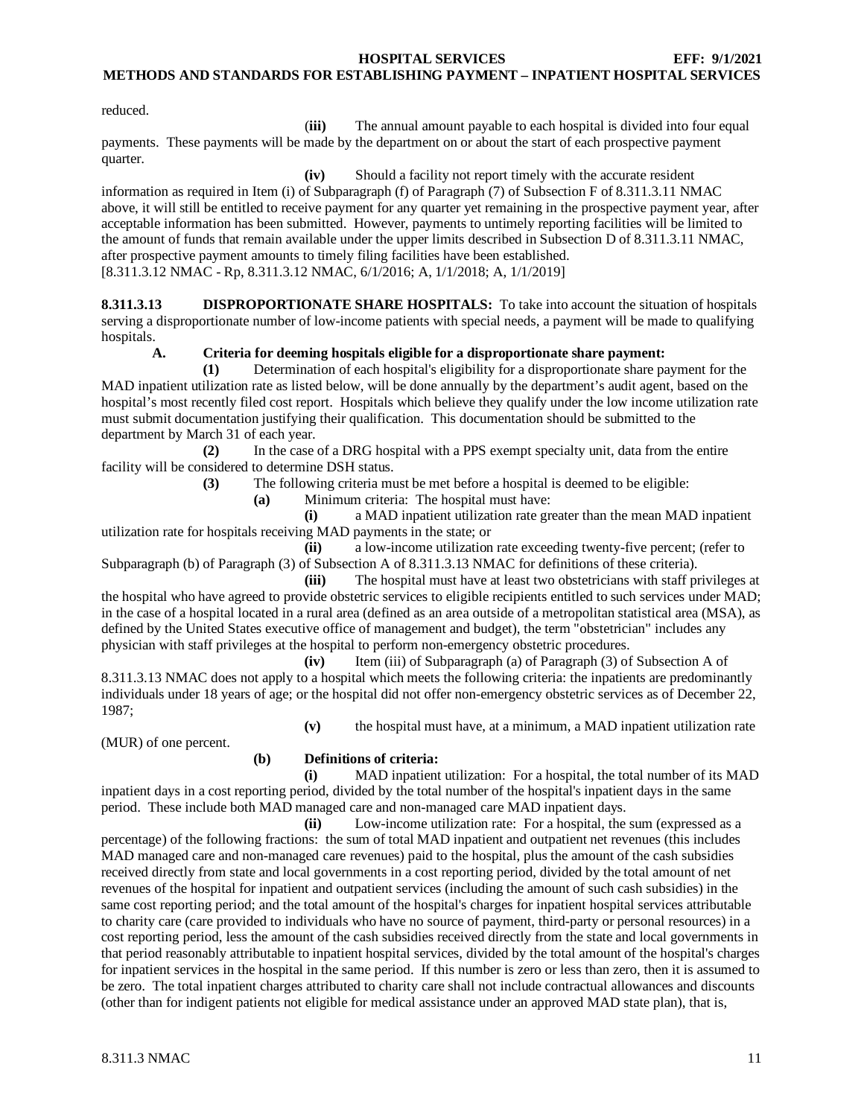reduced.

(**iii)** The annual amount payable to each hospital is divided into four equal payments. These payments will be made by the department on or about the start of each prospective payment quarter.

**(iv)** Should a facility not report timely with the accurate resident information as required in Item (i) of Subparagraph (f) of Paragraph (7) of Subsection F of 8.311.3.11 NMAC above, it will still be entitled to receive payment for any quarter yet remaining in the prospective payment year, after acceptable information has been submitted. However, payments to untimely reporting facilities will be limited to the amount of funds that remain available under the upper limits described in Subsection D of 8.311.3.11 NMAC, after prospective payment amounts to timely filing facilities have been established. [8.311.3.12 NMAC - Rp, 8.311.3.12 NMAC, 6/1/2016; A, 1/1/2018; A, 1/1/2019]

<span id="page-11-0"></span>**8.311.3.13 DISPROPORTIONATE SHARE HOSPITALS:** To take into account the situation of hospitals serving a disproportionate number of low-income patients with special needs, a payment will be made to qualifying hospitals.

**A. Criteria for deeming hospitals eligible for a disproportionate share payment:**

**(1)** Determination of each hospital's eligibility for a disproportionate share payment for the MAD inpatient utilization rate as listed below, will be done annually by the department's audit agent, based on the hospital's most recently filed cost report. Hospitals which believe they qualify under the low income utilization rate must submit documentation justifying their qualification. This documentation should be submitted to the department by March 31 of each year.

**(2)** In the case of a DRG hospital with a PPS exempt specialty unit, data from the entire facility will be considered to determine DSH status.

**(3)** The following criteria must be met before a hospital is deemed to be eligible:

**(a)** Minimum criteria: The hospital must have:

**(i)** a MAD inpatient utilization rate greater than the mean MAD inpatient utilization rate for hospitals receiving MAD payments in the state; or

**(ii)** a low-income utilization rate exceeding twenty-five percent; (refer to Subparagraph (b) of Paragraph (3) of Subsection A of 8.311.3.13 NMAC for definitions of these criteria).

**(iii)** The hospital must have at least two obstetricians with staff privileges at the hospital who have agreed to provide obstetric services to eligible recipients entitled to such services under MAD; in the case of a hospital located in a rural area (defined as an area outside of a metropolitan statistical area (MSA), as defined by the United States executive office of management and budget), the term "obstetrician" includes any physician with staff privileges at the hospital to perform non-emergency obstetric procedures.

**(iv)** Item (iii) of Subparagraph (a) of Paragraph (3) of Subsection A of 8.311.3.13 NMAC does not apply to a hospital which meets the following criteria: the inpatients are predominantly individuals under 18 years of age; or the hospital did not offer non-emergency obstetric services as of December 22, 1987;

**(v)** the hospital must have, at a minimum, a MAD inpatient utilization rate

(MUR) of one percent.

# **(b) Definitions of criteria:**

**(i)** MAD inpatient utilization: For a hospital, the total number of its MAD inpatient days in a cost reporting period, divided by the total number of the hospital's inpatient days in the same period. These include both MAD managed care and non-managed care MAD inpatient days.

**(ii)** Low-income utilization rate: For a hospital, the sum (expressed as a percentage) of the following fractions: the sum of total MAD inpatient and outpatient net revenues (this includes MAD managed care and non-managed care revenues) paid to the hospital, plus the amount of the cash subsidies received directly from state and local governments in a cost reporting period, divided by the total amount of net revenues of the hospital for inpatient and outpatient services (including the amount of such cash subsidies) in the same cost reporting period; and the total amount of the hospital's charges for inpatient hospital services attributable to charity care (care provided to individuals who have no source of payment, third-party or personal resources) in a cost reporting period, less the amount of the cash subsidies received directly from the state and local governments in that period reasonably attributable to inpatient hospital services, divided by the total amount of the hospital's charges for inpatient services in the hospital in the same period. If this number is zero or less than zero, then it is assumed to be zero. The total inpatient charges attributed to charity care shall not include contractual allowances and discounts (other than for indigent patients not eligible for medical assistance under an approved MAD state plan), that is,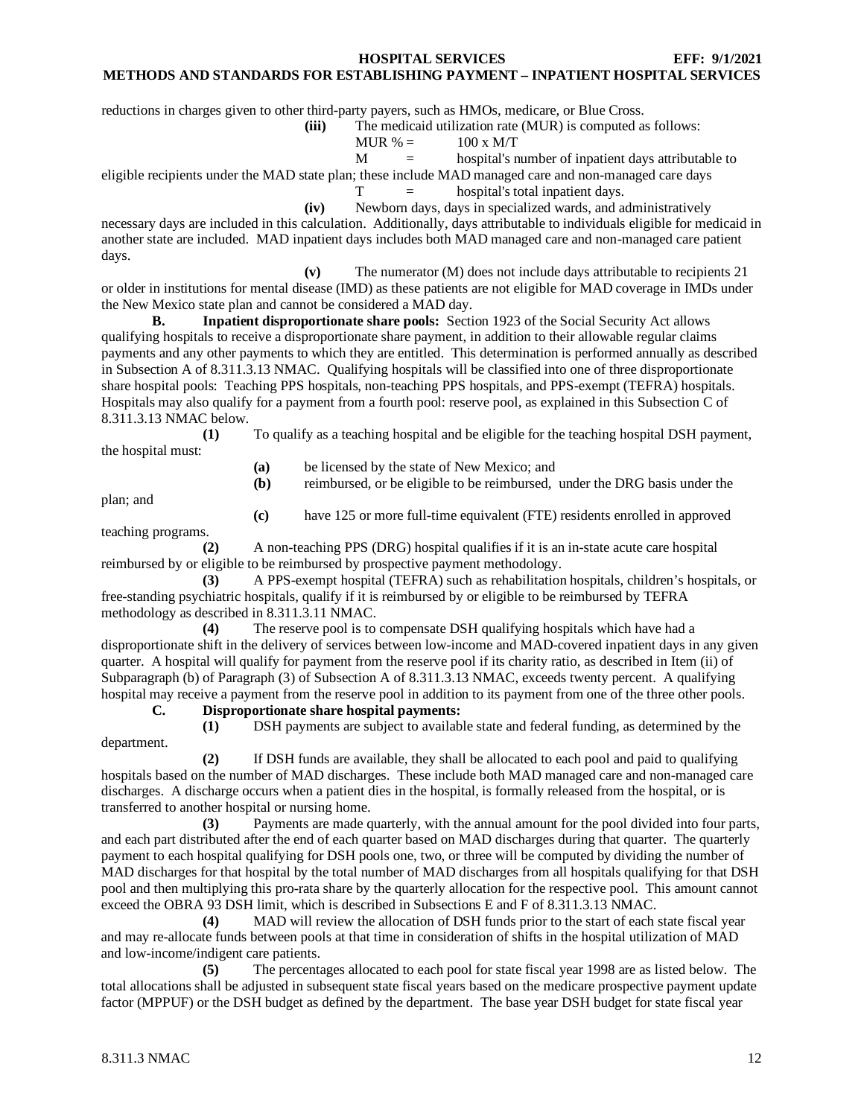#### **METHODS AND STANDARDS FOR ESTABLISHING PAYMENT – INPATIENT HOSPITAL SERVICES**

reductions in charges given to other third-party payers, such as HMOs, medicare, or Blue Cross.

**(iii)** The medicaid utilization rate (MUR) is computed as follows:

$$
MUR % = 100 x M/T
$$

$$
M = \text{hospital's number of inpatient days attribute} to
$$

eligible recipients under the MAD state plan; these include MAD managed care and non-managed care days

 $T =$  hospital's total inpatient days.

**(iv)** Newborn days, days in specialized wards, and administratively necessary days are included in this calculation. Additionally, days attributable to individuals eligible for medicaid in another state are included. MAD inpatient days includes both MAD managed care and non-managed care patient days.

**(v)** The numerator (M) does not include days attributable to recipients 21 or older in institutions for mental disease (IMD) as these patients are not eligible for MAD coverage in IMDs under the New Mexico state plan and cannot be considered a MAD day.

**B. Inpatient disproportionate share pools:** Section 1923 of the Social Security Act allows qualifying hospitals to receive a disproportionate share payment, in addition to their allowable regular claims payments and any other payments to which they are entitled. This determination is performed annually as described in Subsection A of 8.311.3.13 NMAC. Qualifying hospitals will be classified into one of three disproportionate share hospital pools: Teaching PPS hospitals, non-teaching PPS hospitals, and PPS-exempt (TEFRA) hospitals. Hospitals may also qualify for a payment from a fourth pool: reserve pool, as explained in this Subsection C of 8.311.3.13 NMAC below.

**(1)** To qualify as a teaching hospital and be eligible for the teaching hospital DSH payment, the hospital must:

**(a)** be licensed by the state of New Mexico; and

**(b)** reimbursed, or be eligible to be reimbursed, under the DRG basis under the

plan; and

**(c)** have 125 or more full-time equivalent (FTE) residents enrolled in approved

teaching programs.

**(2)** A non-teaching PPS (DRG) hospital qualifies if it is an in-state acute care hospital reimbursed by or eligible to be reimbursed by prospective payment methodology.

**(3)** A PPS-exempt hospital (TEFRA) such as rehabilitation hospitals, children's hospitals, or free-standing psychiatric hospitals, qualify if it is reimbursed by or eligible to be reimbursed by TEFRA methodology as described in 8.311.3.11 NMAC.

**(4)** The reserve pool is to compensate DSH qualifying hospitals which have had a disproportionate shift in the delivery of services between low-income and MAD-covered inpatient days in any given quarter. A hospital will qualify for payment from the reserve pool if its charity ratio, as described in Item (ii) of Subparagraph (b) of Paragraph (3) of Subsection A of 8.311.3.13 NMAC, exceeds twenty percent. A qualifying hospital may receive a payment from the reserve pool in addition to its payment from one of the three other pools.

**C. Disproportionate share hospital payments:**

department.

**(1)** DSH payments are subject to available state and federal funding, as determined by the

**(2)** If DSH funds are available, they shall be allocated to each pool and paid to qualifying hospitals based on the number of MAD discharges. These include both MAD managed care and non-managed care discharges. A discharge occurs when a patient dies in the hospital, is formally released from the hospital, or is transferred to another hospital or nursing home.

**(3)** Payments are made quarterly, with the annual amount for the pool divided into four parts, and each part distributed after the end of each quarter based on MAD discharges during that quarter. The quarterly payment to each hospital qualifying for DSH pools one, two, or three will be computed by dividing the number of MAD discharges for that hospital by the total number of MAD discharges from all hospitals qualifying for that DSH pool and then multiplying this pro-rata share by the quarterly allocation for the respective pool. This amount cannot exceed the OBRA 93 DSH limit, which is described in Subsections E and F of 8.311.3.13 NMAC.

**(4)** MAD will review the allocation of DSH funds prior to the start of each state fiscal year and may re-allocate funds between pools at that time in consideration of shifts in the hospital utilization of MAD and low-income/indigent care patients.

**(5)** The percentages allocated to each pool for state fiscal year 1998 are as listed below. The total allocations shall be adjusted in subsequent state fiscal years based on the medicare prospective payment update factor (MPPUF) or the DSH budget as defined by the department. The base year DSH budget for state fiscal year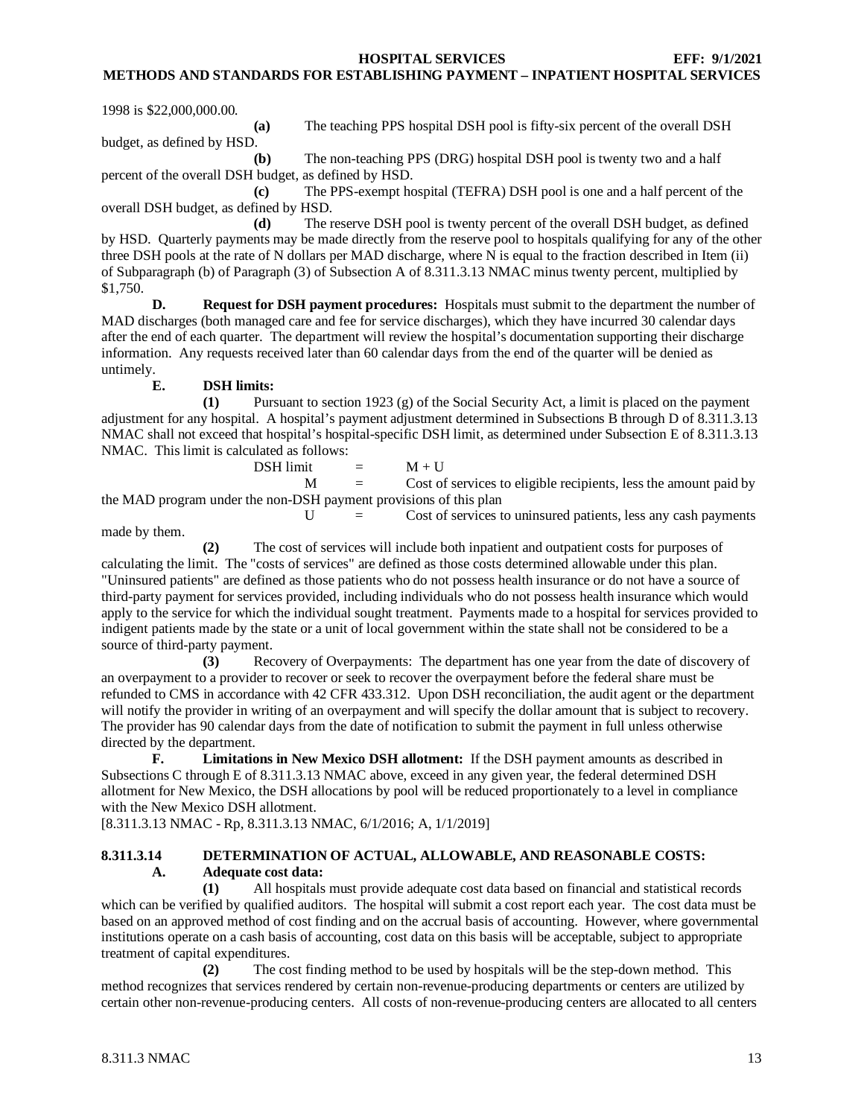**METHODS AND STANDARDS FOR ESTABLISHING PAYMENT – INPATIENT HOSPITAL SERVICES**

1998 is \$22,000,000.00.

**(a)** The teaching PPS hospital DSH pool is fifty-six percent of the overall DSH budget, as defined by HSD.

**(b)** The non-teaching PPS (DRG) hospital DSH pool is twenty two and a half percent of the overall DSH budget, as defined by HSD.

**(c)** The PPS-exempt hospital (TEFRA) DSH pool is one and a half percent of the overall DSH budget, as defined by HSD.

**(d)** The reserve DSH pool is twenty percent of the overall DSH budget, as defined by HSD. Quarterly payments may be made directly from the reserve pool to hospitals qualifying for any of the other three DSH pools at the rate of N dollars per MAD discharge, where N is equal to the fraction described in Item (ii) of Subparagraph (b) of Paragraph (3) of Subsection A of 8.311.3.13 NMAC minus twenty percent, multiplied by \$1,750.

**D. Request for DSH payment procedures:** Hospitals must submit to the department the number of MAD discharges (both managed care and fee for service discharges), which they have incurred 30 calendar days after the end of each quarter. The department will review the hospital's documentation supporting their discharge information. Any requests received later than 60 calendar days from the end of the quarter will be denied as untimely.

#### **E. DSH limits:**

**(1)** Pursuant to section 1923 (g) of the Social Security Act, a limit is placed on the payment adjustment for any hospital. A hospital's payment adjustment determined in Subsections B through D of 8.311.3.13 NMAC shall not exceed that hospital's hospital-specific DSH limit, as determined under Subsection E of 8.311.3.13 NMAC. This limit is calculated as follows:

 $DSH$  limit  $=$   $M + U$ 

 $M =$  Cost of services to eligible recipients, less the amount paid by the MAD program under the non-DSH payment provisions of this plan

 $U =$  Cost of services to uninsured patients, less any cash payments

made by them.

**(2)** The cost of services will include both inpatient and outpatient costs for purposes of calculating the limit. The "costs of services" are defined as those costs determined allowable under this plan. "Uninsured patients" are defined as those patients who do not possess health insurance or do not have a source of third-party payment for services provided, including individuals who do not possess health insurance which would apply to the service for which the individual sought treatment. Payments made to a hospital for services provided to indigent patients made by the state or a unit of local government within the state shall not be considered to be a source of third-party payment.

**(3)** Recovery of Overpayments: The department has one year from the date of discovery of an overpayment to a provider to recover or seek to recover the overpayment before the federal share must be refunded to CMS in accordance with 42 CFR 433.312. Upon DSH reconciliation, the audit agent or the department will notify the provider in writing of an overpayment and will specify the dollar amount that is subject to recovery. The provider has 90 calendar days from the date of notification to submit the payment in full unless otherwise directed by the department.

**F. Limitations in New Mexico DSH allotment:** If the DSH payment amounts as described in Subsections C through E of 8.311.3.13 NMAC above, exceed in any given year, the federal determined DSH allotment for New Mexico, the DSH allocations by pool will be reduced proportionately to a level in compliance with the New Mexico DSH allotment.

[8.311.3.13 NMAC - Rp, 8.311.3.13 NMAC, 6/1/2016; A, 1/1/2019]

# <span id="page-13-0"></span>**8.311.3.14 DETERMINATION OF ACTUAL, ALLOWABLE, AND REASONABLE COSTS: A. Adequate cost data:**

**(1)** All hospitals must provide adequate cost data based on financial and statistical records which can be verified by qualified auditors. The hospital will submit a cost report each year. The cost data must be based on an approved method of cost finding and on the accrual basis of accounting. However, where governmental institutions operate on a cash basis of accounting, cost data on this basis will be acceptable, subject to appropriate treatment of capital expenditures.

**(2)** The cost finding method to be used by hospitals will be the step-down method. This method recognizes that services rendered by certain non-revenue-producing departments or centers are utilized by certain other non-revenue-producing centers. All costs of non-revenue-producing centers are allocated to all centers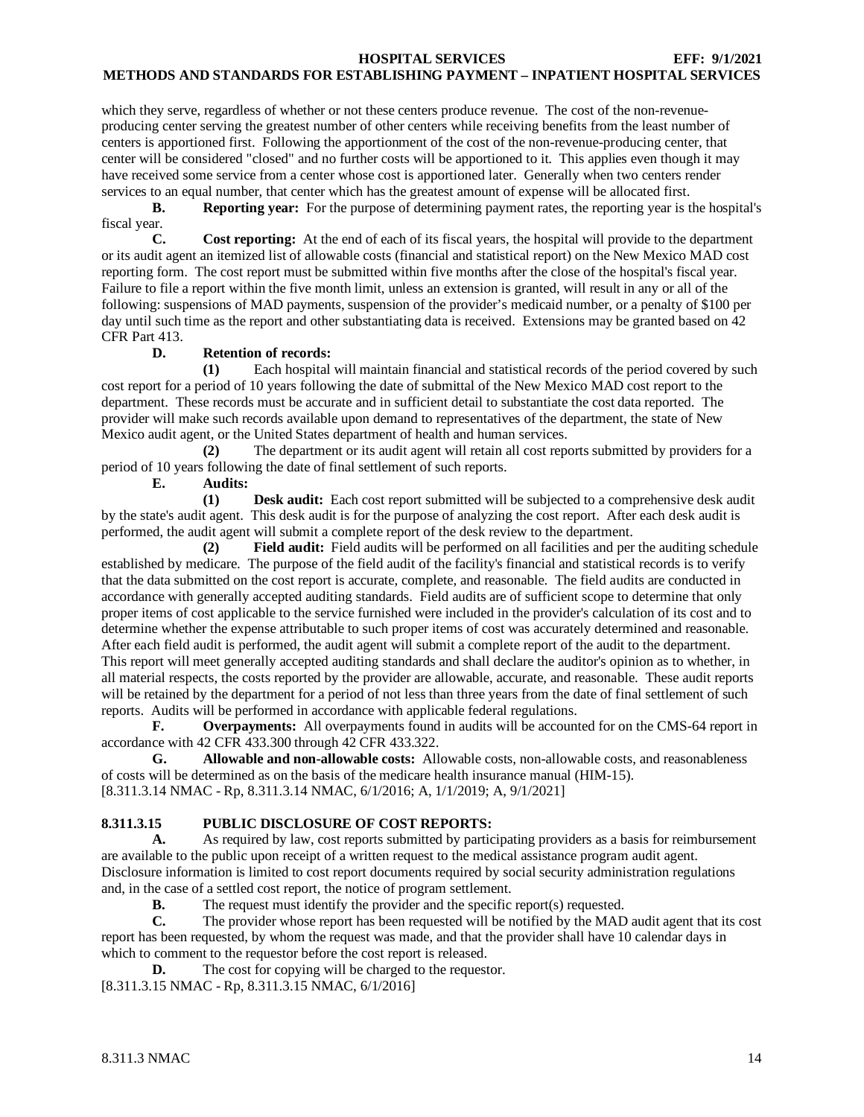which they serve, regardless of whether or not these centers produce revenue. The cost of the non-revenueproducing center serving the greatest number of other centers while receiving benefits from the least number of centers is apportioned first. Following the apportionment of the cost of the non-revenue-producing center, that center will be considered "closed" and no further costs will be apportioned to it. This applies even though it may have received some service from a center whose cost is apportioned later. Generally when two centers render services to an equal number, that center which has the greatest amount of expense will be allocated first.

**B. Reporting year:** For the purpose of determining payment rates, the reporting year is the hospital's fiscal year.<br>C.

**C. Cost reporting:** At the end of each of its fiscal years, the hospital will provide to the department or its audit agent an itemized list of allowable costs (financial and statistical report) on the New Mexico MAD cost reporting form. The cost report must be submitted within five months after the close of the hospital's fiscal year. Failure to file a report within the five month limit, unless an extension is granted, will result in any or all of the following: suspensions of MAD payments, suspension of the provider's medicaid number, or a penalty of \$100 per day until such time as the report and other substantiating data is received. Extensions may be granted based on 42 CFR Part 413.

# **D. Retention of records:**

**(1)** Each hospital will maintain financial and statistical records of the period covered by such cost report for a period of 10 years following the date of submittal of the New Mexico MAD cost report to the department. These records must be accurate and in sufficient detail to substantiate the cost data reported. The provider will make such records available upon demand to representatives of the department, the state of New Mexico audit agent, or the United States department of health and human services.

**(2)** The department or its audit agent will retain all cost reports submitted by providers for a period of 10 years following the date of final settlement of such reports.

**E. Audits:**

**(1) Desk audit:** Each cost report submitted will be subjected to a comprehensive desk audit by the state's audit agent. This desk audit is for the purpose of analyzing the cost report. After each desk audit is performed, the audit agent will submit a complete report of the desk review to the department.

**(2) Field audit:** Field audits will be performed on all facilities and per the auditing schedule established by medicare. The purpose of the field audit of the facility's financial and statistical records is to verify that the data submitted on the cost report is accurate, complete, and reasonable. The field audits are conducted in accordance with generally accepted auditing standards. Field audits are of sufficient scope to determine that only proper items of cost applicable to the service furnished were included in the provider's calculation of its cost and to determine whether the expense attributable to such proper items of cost was accurately determined and reasonable. After each field audit is performed, the audit agent will submit a complete report of the audit to the department. This report will meet generally accepted auditing standards and shall declare the auditor's opinion as to whether, in all material respects, the costs reported by the provider are allowable, accurate, and reasonable. These audit reports will be retained by the department for a period of not less than three years from the date of final settlement of such reports. Audits will be performed in accordance with applicable federal regulations.

**F. Overpayments:** All overpayments found in audits will be accounted for on the CMS-64 report in accordance with 42 CFR 433.300 through 42 CFR 433.322.

**G. Allowable and non-allowable costs:** Allowable costs, non-allowable costs, and reasonableness of costs will be determined as on the basis of the medicare health insurance manual (HIM-15). [8.311.3.14 NMAC - Rp, 8.311.3.14 NMAC, 6/1/2016; A, 1/1/2019; A, 9/1/2021]

# <span id="page-14-0"></span>**8.311.3.15 PUBLIC DISCLOSURE OF COST REPORTS:**

**A.** As required by law, cost reports submitted by participating providers as a basis for reimbursement are available to the public upon receipt of a written request to the medical assistance program audit agent. Disclosure information is limited to cost report documents required by social security administration regulations and, in the case of a settled cost report, the notice of program settlement.

**B.** The request must identify the provider and the specific report(s) requested.

**C.** The provider whose report has been requested will be notified by the MAD audit agent that its cost report has been requested, by whom the request was made, and that the provider shall have 10 calendar days in which to comment to the requestor before the cost report is released.

**D.** The cost for copying will be charged to the requestor.

[8.311.3.15 NMAC - Rp, 8.311.3.15 NMAC, 6/1/2016]